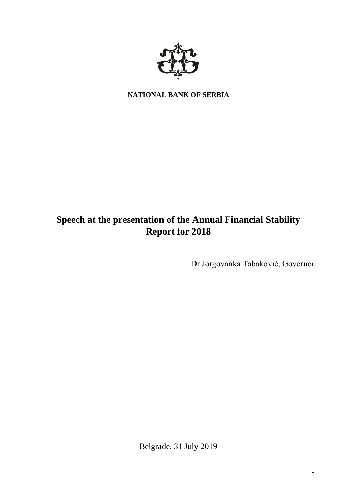

**NATIONAL BANK OF SERBIA**

# **Speech at the presentation of the Annual Financial Stability Report for 2018**

Dr Jorgovanka Tabaković, Governor

Belgrade, 31 July 2019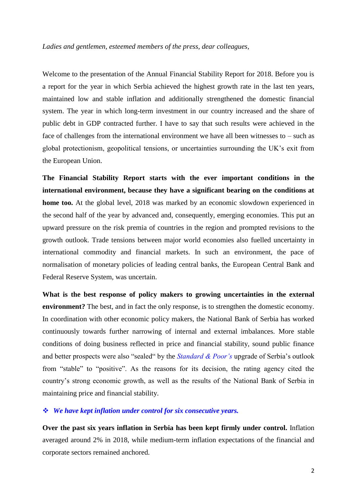### *Ladies and gentlemen, esteemed members of the press, dear colleagues,*

Welcome to the presentation of the Annual Financial Stability Report for 2018. Before you is a report for the year in which Serbia achieved the highest growth rate in the last ten years, maintained low and stable inflation and additionally strengthened the domestic financial system. The year in which long-term investment in our country increased and the share of public debt in GDP contracted further. I have to say that such results were achieved in the face of challenges from the international environment we have all been witnesses to – such as global protectionism, geopolitical tensions, or uncertainties surrounding the UK's exit from the European Union.

**The Financial Stability Report starts with the ever important conditions in the international environment, because they have a significant bearing on the conditions at home too.** At the global level, 2018 was marked by an economic slowdown experienced in the second half of the year by advanced and, consequently, emerging economies. This put an upward pressure on the risk premia of countries in the region and prompted revisions to the growth outlook. Trade tensions between major world economies also fuelled uncertainty in international commodity and financial markets. In such an environment, the pace of normalisation of monetary policies of leading central banks, the European Central Bank and Federal Reserve System, was uncertain.

**What is the best response of policy makers to growing uncertainties in the external environment?** The best, and in fact the only response, is to strengthen the domestic economy. In coordination with other economic policy makers, the National Bank of Serbia has worked continuously towards further narrowing of internal and external imbalances. More stable conditions of doing business reflected in price and financial stability, sound public finance and better prospects were also "sealed" by the *Standard & Poor's* upgrade of Serbia's outlook from "stable" to "positive". As the reasons for its decision, the rating agency cited the country's strong economic growth, as well as the results of the National Bank of Serbia in maintaining price and financial stability.

## *We have kept inflation under control for six consecutive years.*

**Over the past six years inflation in Serbia has been kept firmly under control.** Inflation averaged around 2% in 2018, while medium-term inflation expectations of the financial and corporate sectors remained anchored.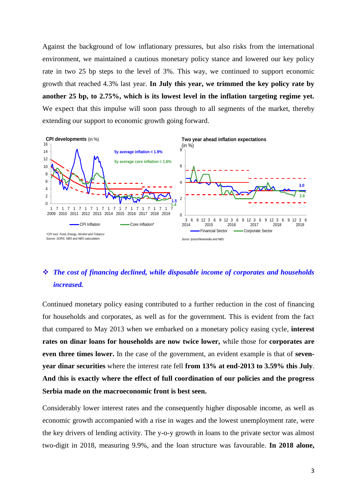Against the background of low inflationary pressures, but also risks from the international environment, we maintained a cautious monetary policy stance and lowered our key policy rate in two 25 bp steps to the level of 3%. This way, we continued to support economic growth that reached 4.3% last year. **In July this year, we trimmed the key policy rate by another 25 bp, to 2.75%, which is its lowest level in the inflation targeting regime yet.** We expect that this impulse will soon pass through to all segments of the market, thereby extending our support to economic growth going forward.



# *The cost of financing declined, while disposable income of corporates and households increased.*

Continued monetary policy easing contributed to a further reduction in the cost of financing for households and corporates, as well as for the government. This is evident from the fact that compared to May 2013 when we embarked on a monetary policy easing cycle, **interest rates on dinar loans for households are now twice lower,** while those for **corporates are even three times lower.** In the case of the government, an evident example is that of **sevenyear dinar securities** where the interest rate fell **from 13% at end-2013 to 3.59% this July**. **And** t**his is exactly where the effect of full coordination of our policies and the progress Serbia made on the macroeconomic front is best seen.**

Considerably lower interest rates and the consequently higher disposable income, as well as economic growth accompanied with a rise in wages and the lowest unemployment rate, were the key drivers of lending activity. The y-o-y growth in loans to the private sector was almost two-digit in 2018, measuring 9.9%, and the loan structure was favourable. **In 2018 alone,**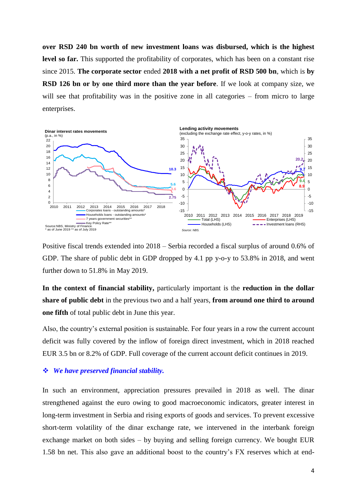**over RSD 240 bn worth of new investment loans was disbursed, which is the highest level so far.** This supported the profitability of corporates, which has been on a constant rise since 2015. **The corporate sector** ended **2018 with a net profit of RSD 500 bn**, which is **by RSD 126 bn or by one third more than the year before**. If we look at company size, we will see that profitability was in the positive zone in all categories – from micro to large enterprises.



Positive fiscal trends extended into 2018 – Serbia recorded a fiscal surplus of around 0.6% of GDP. The share of public debt in GDP dropped by 4.1 pp y-o-y to 53.8% in 2018, and went further down to 51.8% in May 2019.

**In the context of financial stability,** particularly important is the **reduction in the dollar share of public debt** in the previous two and a half years, **from around one third to around one fifth** of total public debt in June this year.

Also, the country's external position is sustainable. For four years in a row the current account deficit was fully covered by the inflow of foreign direct investment, which in 2018 reached EUR 3.5 bn or 8.2% of GDP. Full coverage of the current account deficit continues in 2019.

#### *We have preserved financial stability.*

In such an environment, appreciation pressures prevailed in 2018 as well. The dinar strengthened against the euro owing to good macroeconomic indicators, greater interest in long-term investment in Serbia and rising exports of goods and services. To prevent excessive short-term volatility of the dinar exchange rate, we intervened in the interbank foreign exchange market on both sides – by buying and selling foreign currency. We bought EUR 1.58 bn net. This also gave an additional boost to the country's FX reserves which at end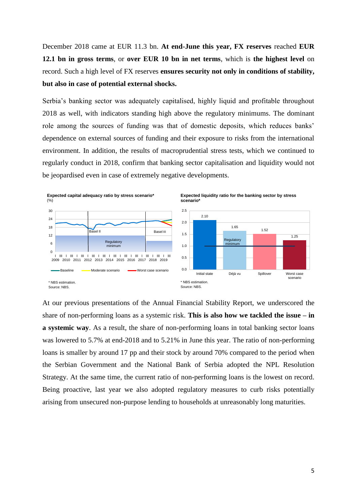December 2018 came at EUR 11.3 bn. **At end-June this year, FX reserves** reached **EUR 12.1 bn in gross terms**, or **over EUR 10 bn in net terms**, which is **the highest level** on record. Such a high level of FX reserves **ensures security not only in conditions of stability, but also in case of potential external shocks.** 

Serbia's banking sector was adequately capitalised, highly liquid and profitable throughout 2018 as well, with indicators standing high above the regulatory minimums. The dominant role among the sources of funding was that of domestic deposits, which reduces banks' dependence on external sources of funding and their exposure to risks from the international environment. In addition, the results of macroprudential stress tests, which we continued to regularly conduct in 2018, confirm that banking sector capitalisation and liquidity would not be jeopardised even in case of extremely negative developments.



At our previous presentations of the Annual Financial Stability Report, we underscored the share of non-performing loans as a systemic risk. **This is also how we tackled the issue – in a systemic way**. As a result, the share of non-performing loans in total banking sector loans was lowered to 5.7% at end-2018 and to 5.21% in June this year. The ratio of non-performing loans is smaller by around 17 pp and their stock by around 70% compared to the period when the Serbian Government and the National Bank of Serbia adopted the NPL Resolution Strategy. At the same time, the current ratio of non-performing loans is the lowest on record. Being proactive, last year we also adopted regulatory measures to curb risks potentially arising from unsecured non-purpose lending to households at unreasonably long maturities.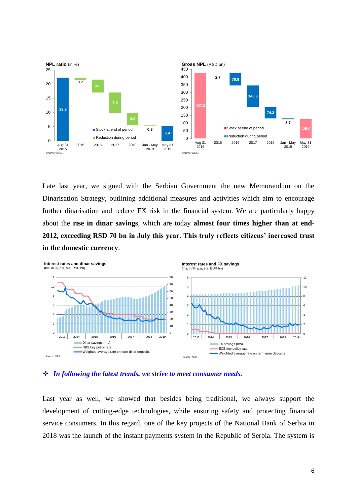

Late last year, we signed with the Serbian Government the new Memorandum on the Dinarisation Strategy, outlining additional measures and activities which aim to encourage further dinarisation and reduce FX risk in the financial system. We are particularly happy about the **rise in dinar savings**, which are today **almost four times higher than at end-2012, exceeding RSD 70 bn in July this year. This truly reflects citizens' increased trust in the domestic currency**.



*In following the latest trends, we strive to meet consumer needs.*

Last year as well, we showed that besides being traditional, we always support the development of cutting-edge technologies, while ensuring safety and protecting financial service consumers. In this regard, one of the key projects of the National Bank of Serbia in 2018 was the launch of the instant payments system in the Republic of Serbia. The system is